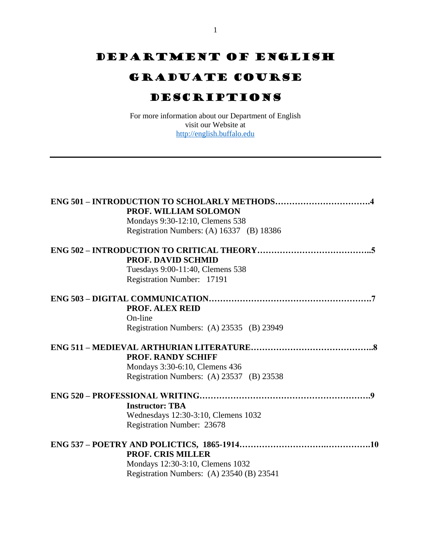# DEPARTMENT OF ENGLISH

## Graduate course

## Descriptions

For more information about our Department of English visit our Website at [http://english.buffalo.edu](http://english.buffalo.edu/)

| PROF. WILLIAM SOLOMON<br>Mondays 9:30-12:10, Clemens 538<br>Registration Numbers: (A) 16337 (B) 18386 |
|-------------------------------------------------------------------------------------------------------|
|                                                                                                       |
| <b>PROF. DAVID SCHMID</b>                                                                             |
| Tuesdays 9:00-11:40, Clemens 538                                                                      |
| Registration Number: 17191                                                                            |
|                                                                                                       |
| <b>PROF. ALEX REID</b>                                                                                |
| On-line                                                                                               |
| Registration Numbers: (A) 23535 (B) 23949                                                             |
|                                                                                                       |
| <b>PROF. RANDY SCHIFF</b>                                                                             |
| Mondays 3:30-6:10, Clemens 436                                                                        |
| Registration Numbers: (A) 23537 (B) 23538                                                             |
|                                                                                                       |
| <b>Instructor: TBA</b>                                                                                |
| Wednesdays 12:30-3:10, Clemens 1032                                                                   |
| Registration Number: 23678                                                                            |
|                                                                                                       |
| <b>PROF. CRIS MILLER</b>                                                                              |
|                                                                                                       |
| Mondays 12:30-3:10, Clemens 1032                                                                      |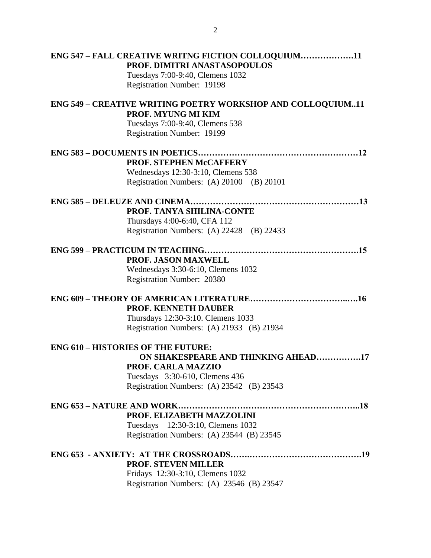| ENG 547 - FALL CREATIVE WRITNG FICTION COLLOQUIUM11<br>PROF. DIMITRI ANASTASOPOULOS |
|-------------------------------------------------------------------------------------|
| Tuesdays 7:00-9:40, Clemens 1032                                                    |
| Registration Number: 19198                                                          |
|                                                                                     |
| ENG 549 - CREATIVE WRITING POETRY WORKSHOP AND COLLOQUIUM11                         |
| <b>PROF. MYUNG MI KIM</b>                                                           |
| Tuesdays 7:00-9:40, Clemens 538                                                     |
| Registration Number: 19199                                                          |
|                                                                                     |
| PROF. STEPHEN McCAFFERY                                                             |
| Wednesdays 12:30-3:10, Clemens 538                                                  |
| Registration Numbers: (A) 20100 (B) 20101                                           |
|                                                                                     |
|                                                                                     |
| PROF. TANYA SHILINA-CONTE                                                           |
| Thursdays 4:00-6:40, CFA 112                                                        |
| Registration Numbers: (A) 22428 (B) 22433                                           |
|                                                                                     |
| PROF. JASON MAXWELL                                                                 |
| Wednesdays 3:30-6:10, Clemens 1032                                                  |
| Registration Number: 20380                                                          |
|                                                                                     |
| <b>PROF. KENNETH DAUBER</b>                                                         |
| Thursdays 12:30-3:10. Clemens 1033                                                  |
| Registration Numbers: (A) 21933 (B) 21934                                           |
|                                                                                     |
| <b>ENG 610 - HISTORIES OF THE FUTURE:</b>                                           |
| ON SHAKESPEARE AND THINKING AHEAD17                                                 |
| PROF. CARLA MAZZIO                                                                  |
| Tuesdays 3:30-610, Clemens 436                                                      |
| Registration Numbers: (A) 23542 (B) 23543                                           |
|                                                                                     |
| PROF. ELIZABETH MAZZOLINI                                                           |
| Tuesdays 12:30-3:10, Clemens 1032                                                   |
| Registration Numbers: (A) 23544 (B) 23545                                           |
|                                                                                     |
| <b>PROF. STEVEN MILLER</b>                                                          |
| Fridays 12:30-3:10, Clemens 1032                                                    |
| Registration Numbers: (A) 23546 (B) 23547                                           |
|                                                                                     |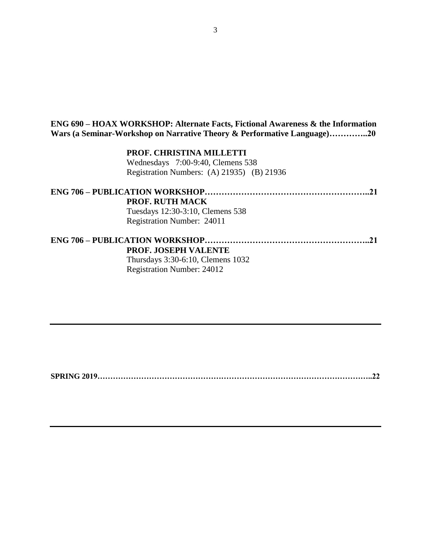## **ENG 690 – HOAX WORKSHOP: Alternate Facts, Fictional Awareness & the Information Wars (a Seminar-Workshop on Narrative Theory & Performative Language)…………..20**

**PROF. CHRISTINA MILLETTI** Wednesdays 7:00-9:40, Clemens 538 Registration Numbers: (A) 21935) (B) 21936

| <b>PROF. RUTH MACK</b>            |  |
|-----------------------------------|--|
| Tuesdays 12:30-3:10, Clemens 538  |  |
| Registration Number: 24011        |  |
|                                   |  |
| <b>PROF. JOSEPH VALENTE</b>       |  |
| Thursdays 3:30-6:10, Clemens 1032 |  |

Registration Number: 24012

**SPRING 2019……………………………………………………………………………………………..22**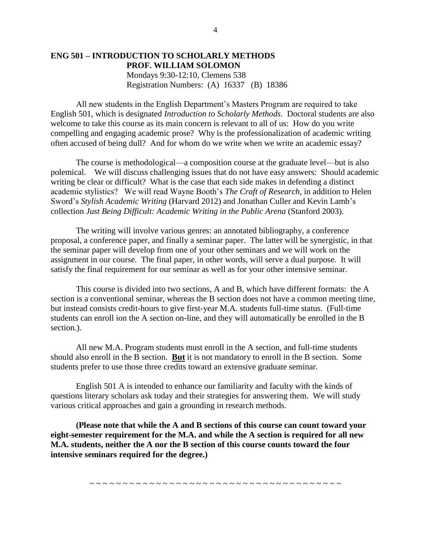## **ENG 501 – INTRODUCTION TO SCHOLARLY METHODS PROF. WILLIAM SOLOMON** Mondays 9:30-12:10, Clemens 538 Registration Numbers: (A) 16337 (B) 18386

All new students in the English Department's Masters Program are required to take English 501, which is designated *Introduction to Scholarly Methods*. Doctoral students are also welcome to take this course as its main concern is relevant to all of us: How do you write compelling and engaging academic prose? Why is the professionalization of academic writing often accused of being dull? And for whom do we write when we write an academic essay?

The course is methodological—a composition course at the graduate level—but is also polemical. We will discuss challenging issues that do not have easy answers: Should academic writing be clear or difficult? What is the case that each side makes in defending a distinct academic stylistics? We will read Wayne Booth's *The Craft of Research*, in addition to Helen Sword's *Stylish Academic Writing* (Harvard 2012) and Jonathan Culler and Kevin Lamb's collection *Just Being Difficult: Academic Writing in the Public Arena* (Stanford 2003).

The writing will involve various genres: an annotated bibliography, a conference proposal, a conference paper, and finally a seminar paper. The latter will be synergistic, in that the seminar paper will develop from one of your other seminars and we will work on the assignment in our course. The final paper, in other words, will serve a dual purpose. It will satisfy the final requirement for our seminar as well as for your other intensive seminar.

This course is divided into two sections, A and B, which have different formats: the A section is a conventional seminar, whereas the B section does not have a common meeting time, but instead consists credit-hours to give first-year M.A. students full-time status. (Full-time students can enroll ion the A section on-line, and they will automatically be enrolled in the B section.).

All new M.A. Program students must enroll in the A section, and full-time students should also enroll in the B section. **But** it is not mandatory to enroll in the B section. Some students prefer to use those three credits toward an extensive graduate seminar.

English 501 A is intended to enhance our familiarity and faculty with the kinds of questions literary scholars ask today and their strategies for answering them. We will study various critical approaches and gain a grounding in research methods.

**(Please note that while the A and B sections of this course can count toward your eight-semester requirement for the M.A. and while the A section is required for all new M.A. students, neither the A nor the B section of this course counts toward the four intensive seminars required for the degree.)**

~ ~ ~ ~ ~ ~ ~ ~ ~ ~ ~ ~ ~ ~ ~ ~ ~ ~ ~ ~ ~ ~ ~ ~ ~ ~ ~ ~ ~ ~ ~ ~ ~ ~ ~ ~ ~ ~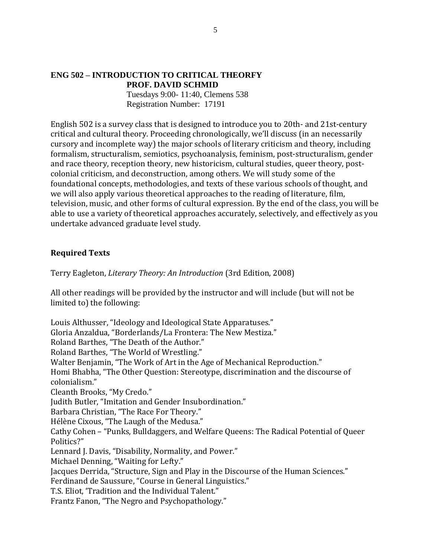### **ENG 502 – INTRODUCTION TO CRITICAL THEORFY PROF. DAVID SCHMID**

Tuesdays 9:00- 11:40, Clemens 538 Registration Number: 17191

English 502 is a survey class that is designed to introduce you to 20th- and 21st-century critical and cultural theory. Proceeding chronologically, we'll discuss (in an necessarily cursory and incomplete way) the major schools of literary criticism and theory, including formalism, structuralism, semiotics, psychoanalysis, feminism, post-structuralism, gender and race theory, reception theory, new historicism, cultural studies, queer theory, postcolonial criticism, and deconstruction, among others. We will study some of the foundational concepts, methodologies, and texts of these various schools of thought, and we will also apply various theoretical approaches to the reading of literature, film, television, music, and other forms of cultural expression. By the end of the class, you will be able to use a variety of theoretical approaches accurately, selectively, and effectively as you undertake advanced graduate level study.

## **Required Texts**

Terry Eagleton, *Literary Theory: An Introduction* (3rd Edition, 2008)

All other readings will be provided by the instructor and will include (but will not be limited to) the following:

Louis Althusser, "Ideology and Ideological State Apparatuses." Gloria Anzaldua, "Borderlands/La Frontera: The New Mestiza." Roland Barthes, "The Death of the Author." Roland Barthes, "The World of Wrestling." Walter Benjamin, "The Work of Art in the Age of Mechanical Reproduction." Homi Bhabha, "The Other Question: Stereotype, discrimination and the discourse of colonialism." Cleanth Brooks, "My Credo." Judith Butler, "Imitation and Gender Insubordination." Barbara Christian, "The Race For Theory." Hélène Cixous, "The Laugh of the Medusa." Cathy Cohen – "Punks, Bulldaggers, and Welfare Queens: The Radical Potential of Queer Politics?" Lennard J. Davis, "Disability, Normality, and Power." Michael Denning, "Waiting for Lefty." Jacques Derrida, "Structure, Sign and Play in the Discourse of the Human Sciences." Ferdinand de Saussure, "Course in General Linguistics." T.S. Eliot, 'Tradition and the Individual Talent." Frantz Fanon, "The Negro and Psychopathology."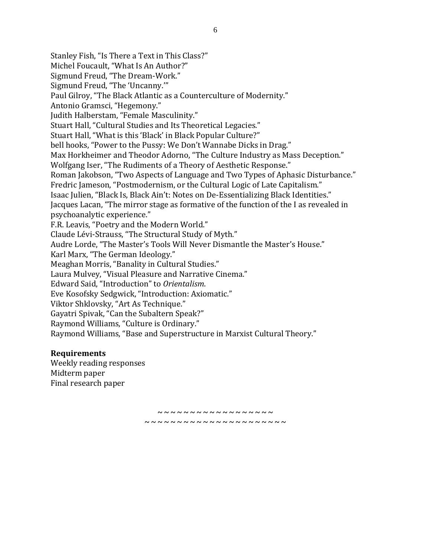Stanley Fish, "Is There a Text in This Class?" Michel Foucault, "What Is An Author?" Sigmund Freud, "The Dream-Work." Sigmund Freud, "The 'Uncanny.'" Paul Gilroy, "The Black Atlantic as a Counterculture of Modernity." Antonio Gramsci, "Hegemony." Judith Halberstam, "Female Masculinity." Stuart Hall, "Cultural Studies and Its Theoretical Legacies." Stuart Hall, "What is this 'Black' in Black Popular Culture?" bell hooks, "Power to the Pussy: We Don't Wannabe Dicks in Drag." Max Horkheimer and Theodor Adorno, "The Culture Industry as Mass Deception." Wolfgang Iser, "The Rudiments of a Theory of Aesthetic Response." Roman Jakobson, "Two Aspects of Language and Two Types of Aphasic Disturbance." Fredric Jameson, "Postmodernism, or the Cultural Logic of Late Capitalism." Isaac Julien, "Black Is, Black Ain't: Notes on De-Essentializing Black Identities." Jacques Lacan, "The mirror stage as formative of the function of the I as revealed in psychoanalytic experience." F.R. Leavis, "Poetry and the Modern World." Claude Lévi-Strauss, "The Structural Study of Myth." Audre Lorde, "The Master's Tools Will Never Dismantle the Master's House." Karl Marx, "The German Ideology." Meaghan Morris, "Banality in Cultural Studies." Laura Mulvey, "Visual Pleasure and Narrative Cinema." Edward Said, "Introduction" to *Orientalism*. Eve Kosofsky Sedgwick, "Introduction: Axiomatic." Viktor Shklovsky, "Art As Technique." Gayatri Spivak, "Can the Subaltern Speak?" Raymond Williams, "Culture is Ordinary." Raymond Williams, "Base and Superstructure in Marxist Cultural Theory."

## **Requirements**

Weekly reading responses Midterm paper Final research paper

> **~ ~ ~ ~ ~ ~ ~ ~ ~ ~ ~ ~ ~ ~ ~ ~ ~ ~ ~ ~ ~ ~ ~ ~ ~ ~ ~ ~ ~ ~ ~ ~ ~ ~ ~ ~ ~ ~ ~ ~**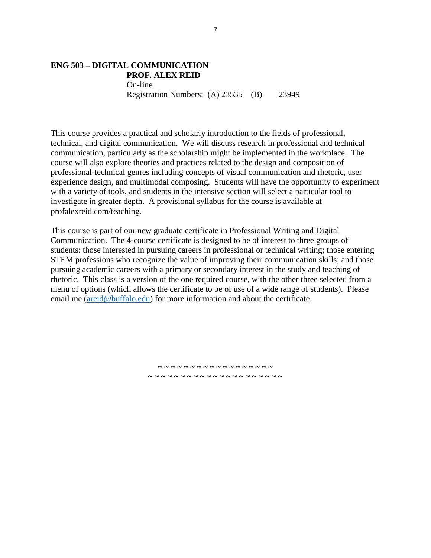## **ENG 503 – DIGITAL COMMUNICATION PROF. ALEX REID** On-line Registration Numbers: (A) 23535 (B) 23949

This course provides a practical and scholarly introduction to the fields of professional, technical, and digital communication. We will discuss research in professional and technical communication, particularly as the scholarship might be implemented in the workplace. The course will also explore theories and practices related to the design and composition of professional-technical genres including concepts of visual communication and rhetoric, user experience design, and multimodal composing. Students will have the opportunity to experiment with a variety of tools, and students in the intensive section will select a particular tool to investigate in greater depth. A provisional syllabus for the course is available at profalexreid.com/teaching.

This course is part of our new graduate certificate in Professional Writing and Digital Communication. The 4-course certificate is designed to be of interest to three groups of students: those interested in pursuing careers in professional or technical writing; those entering STEM professions who recognize the value of improving their communication skills; and those pursuing academic careers with a primary or secondary interest in the study and teaching of rhetoric. This class is a version of the one required course, with the other three selected from a menu of options (which allows the certificate to be of use of a wide range of students). Please email me [\(areid@buffalo.edu\)](mailto:areid@buffalo.edu) for more information and about the certificate.

> **~ ~ ~ ~ ~ ~ ~ ~ ~ ~ ~ ~ ~ ~ ~ ~ ~ ~ ~ ~ ~ ~ ~ ~ ~ ~ ~ ~ ~ ~ ~ ~ ~ ~ ~ ~ ~ ~ ~**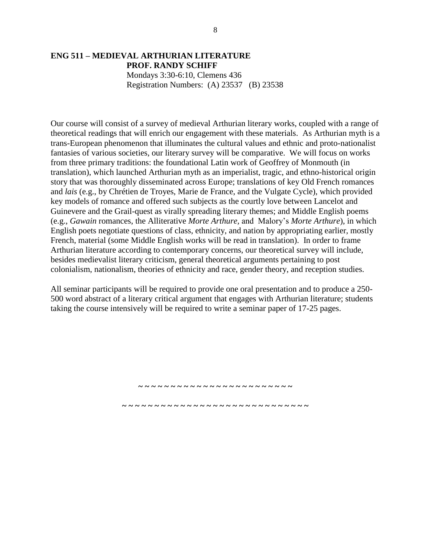## **ENG 511 – MEDIEVAL ARTHURIAN LITERATURE PROF. RANDY SCHIFF** Mondays 3:30-6:10, Clemens 436 Registration Numbers: (A) 23537 (B) 23538

Our course will consist of a survey of medieval Arthurian literary works, coupled with a range of theoretical readings that will enrich our engagement with these materials. As Arthurian myth is a trans-European phenomenon that illuminates the cultural values and ethnic and proto-nationalist fantasies of various societies, our literary survey will be comparative. We will focus on works from three primary traditions: the foundational Latin work of Geoffrey of Monmouth (in translation), which launched Arthurian myth as an imperialist, tragic, and ethno-historical origin story that was thoroughly disseminated across Europe; translations of key Old French romances and *lais* (e.g., by Chrétien de Troyes, Marie de France, and the Vulgate Cycle), which provided key models of romance and offered such subjects as the courtly love between Lancelot and Guinevere and the Grail-quest as virally spreading literary themes; and Middle English poems (e.g., *Gawain* romances, the Alliterative *Morte Arthure,* and Malory's *Morte Arthure*), in which English poets negotiate questions of class, ethnicity, and nation by appropriating earlier, mostly French, material (some Middle English works will be read in translation). In order to frame Arthurian literature according to contemporary concerns, our theoretical survey will include, besides medievalist literary criticism, general theoretical arguments pertaining to post colonialism, nationalism, theories of ethnicity and race, gender theory, and reception studies.

All seminar participants will be required to provide one oral presentation and to produce a 250- 500 word abstract of a literary critical argument that engages with Arthurian literature; students taking the course intensively will be required to write a seminar paper of 17-25 pages.

> **~ ~ ~ ~ ~ ~ ~ ~ ~ ~ ~ ~ ~ ~ ~ ~ ~ ~ ~ ~ ~ ~ ~ ~ ~ ~ ~ ~ ~ ~ ~ ~ ~ ~ ~ ~ ~ ~ ~ ~ ~ ~ ~ ~ ~ ~ ~ ~ ~ ~ ~ ~ ~**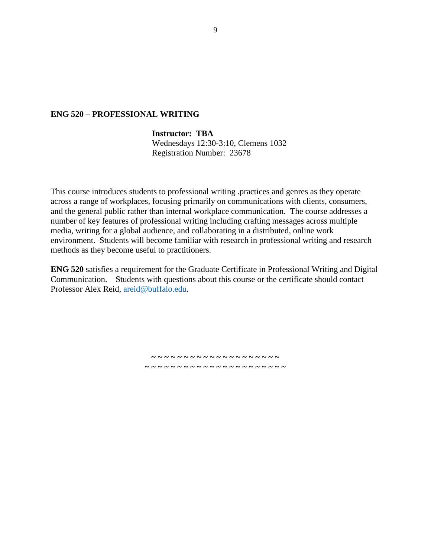#### **ENG 520 – PROFESSIONAL WRITING**

## **Instructor: TBA**

Wednesdays 12:30-3:10, Clemens 1032 Registration Number: 23678

This course introduces students to professional writing .practices and genres as they operate across a range of workplaces, focusing primarily on communications with clients, consumers, and the general public rather than internal workplace communication. The course addresses a number of key features of professional writing including crafting messages across multiple media, writing for a global audience, and collaborating in a distributed, online work environment. Students will become familiar with research in professional writing and research methods as they become useful to practitioners.

**ENG 520** satisfies a requirement for the Graduate Certificate in Professional Writing and Digital Communication. Students with questions about this course or the certificate should contact Professor Alex Reid, [areid@buffalo.edu.](mailto:areid@buffalo.edu)

> **~ ~ ~ ~ ~ ~ ~ ~ ~ ~ ~ ~ ~ ~ ~ ~ ~ ~ ~ ~ ~ ~ ~ ~ ~ ~ ~ ~ ~ ~ ~ ~ ~ ~ ~ ~ ~ ~ ~ ~ ~ ~**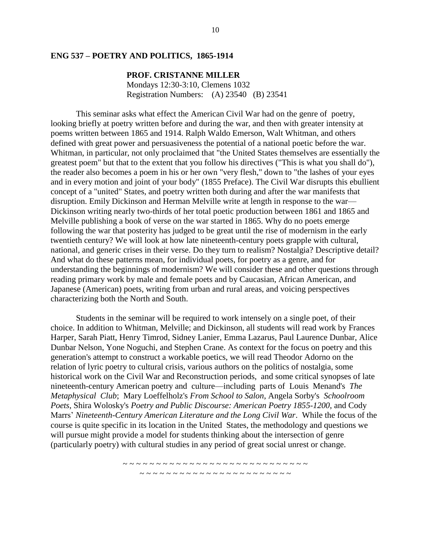#### **ENG 537 – POETRY AND POLITICS, 1865-1914**

#### **PROF. CRISTANNE MILLER**

Mondays 12:30-3:10, Clemens 1032 Registration Numbers: (A) 23540(B) 23541

This seminar asks what effect the American Civil War had on the genre of poetry, looking briefly at poetry written before and during the war, and then with greater intensity at poems written between 1865 and 1914. Ralph Waldo Emerson, Walt Whitman, and others defined with great power and persuasiveness the potential of a national poetic before the war. Whitman, in particular, not only proclaimed that "the United States themselves are essentially the greatest poem" but that to the extent that you follow his directives ("This is what you shall do"), the reader also becomes a poem in his or her own "very flesh," down to "the lashes of your eyes and in every motion and joint of your body" (1855 Preface). The Civil War disrupts this ebullient concept of a "united" States, and poetry written both during and after the war manifests that disruption. Emily Dickinson and Herman Melville write at length in response to the war— Dickinson writing nearly two-thirds of her total poetic production between 1861 and 1865 and Melville publishing a book of verse on the war started in 1865. Why do no poets emerge following the war that posterity has judged to be great until the rise of modernism in the early twentieth century? We will look at how late nineteenth-century poets grapple with cultural, national, and generic crises in their verse. Do they turn to realism? Nostalgia? Descriptive detail? And what do these patterns mean, for individual poets, for poetry as a genre, and for understanding the beginnings of modernism? We will consider these and other questions through reading primary work by male and female poets and by Caucasian, African American, and Japanese (American) poets, writing from urban and rural areas, and voicing perspectives characterizing both the North and South.

Students in the seminar will be required to work intensely on a single poet, of their choice. In addition to Whitman, Melville; and Dickinson, all students will read work by Frances Harper, Sarah Piatt, Henry Timrod, Sidney Lanier, Emma Lazarus, Paul Laurence Dunbar, Alice Dunbar Nelson, Yone Noguchi, and Stephen Crane. As context for the focus on poetry and this generation's attempt to construct a workable poetics, we will read Theodor Adorno on the relation of lyric poetry to cultural crisis, various authors on the politics of nostalgia, some historical work on the Civil War and Reconstruction periods, and some critical synopses of late nineteenth-century American poetry and culture—including parts of Louis Menand's *The Metaphysical Club*; Mary Loeffelholz's *From School to Salon*, Angela Sorby's *Schoolroom Poets*, Shira Wolosky's *Poetry and Public Discourse: American Poetry 1855-1200*, and Cody Marrs' *Nineteenth-Century American Literature and the Long Civil War*. While the focus of the course is quite specific in its location in the United States, the methodology and questions we will pursue might provide a model for students thinking about the intersection of genre (particularly poetry) with cultural studies in any period of great social unrest or change.

> ~ ~ ~ ~ ~ ~ ~ ~ ~ ~ ~ ~ ~ ~ ~ ~ ~ ~ ~ ~ ~ ~ ~ ~ ~ ~ ~ ~ ~ ~ ~ ~ ~ ~ ~ ~ ~ ~ ~ ~ ~ ~ ~ ~ ~ ~ ~ ~ ~ ~ ~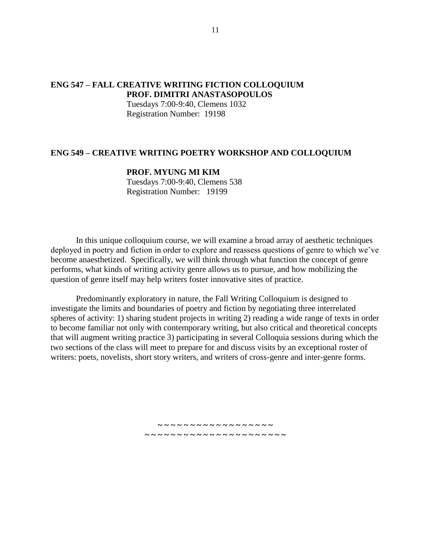## **ENG 547 – FALL CREATIVE WRITING FICTION COLLOQUIUM PROF. DIMITRI ANASTASOPOULOS**

Tuesdays 7:00-9:40, Clemens 1032 Registration Number: 19198

### **ENG 549 – CREATIVE WRITING POETRY WORKSHOP AND COLLOQUIUM**

### **PROF. MYUNG MI KIM**

Tuesdays 7:00-9:40, Clemens 538 Registration Number: 19199

In this unique colloquium course, we will examine a broad array of aesthetic techniques deployed in poetry and fiction in order to explore and reassess questions of genre to which we've become anaesthetized. Specifically, we will think through what function the concept of genre performs, what kinds of writing activity genre allows us to pursue, and how mobilizing the question of genre itself may help writers foster innovative sites of practice.

Predominantly exploratory in nature, the Fall Writing Colloquium is designed to investigate the limits and boundaries of poetry and fiction by negotiating three interrelated spheres of activity: 1) sharing student projects in writing 2) reading a wide range of texts in order to become familiar not only with contemporary writing, but also critical and theoretical concepts that will augment writing practice 3) participating in several Colloquia sessions during which the two sections of the class will meet to prepare for and discuss visits by an exceptional roster of writers: poets, novelists, short story writers, and writers of cross-genre and inter-genre forms.

> **~ ~ ~ ~ ~ ~ ~ ~ ~ ~ ~ ~ ~ ~ ~ ~ ~ ~ ~ ~ ~ ~ ~ ~ ~ ~ ~ ~ ~ ~ ~ ~ ~ ~ ~ ~ ~ ~ ~ ~**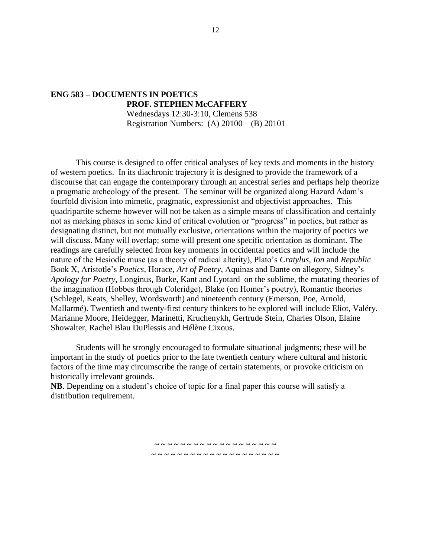## **ENG 583 – DOCUMENTS IN POETICS PROF. STEPHEN McCAFFERY** Wednesdays 12:30-3:10, Clemens 538 Registration Numbers: (A) 20100 (B) 20101

This course is designed to offer critical analyses of key texts and moments in the history of western poetics. In its diachronic trajectory it is designed to provide the framework of a discourse that can engage the contemporary through an ancestral series and perhaps help theorize a pragmatic archeology of the present. The seminar will be organized along Hazard Adam's fourfold division into mimetic, pragmatic, expressionist and objectivist approaches. This quadripartite scheme however will not be taken as a simple means of classification and certainly not as marking phases in some kind of critical evolution or "progress" in poetics, but rather as designating distinct, but not mutually exclusive, orientations within the majority of poetics we will discuss. Many will overlap; some will present one specific orientation as dominant. The readings are carefully selected from key moments in occidental poetics and will include the nature of the Hesiodic muse (as a theory of radical alterity), Plato's *Cratylus, Ion* and *Republic* Book X, Aristotle's *Poetics*, Horace, *Art of Poetry*, Aquinas and Dante on allegory, Sidney's *Apology for Poetry*, Longinus, Burke, Kant and Lyotard on the sublime, the mutating theories of the imagination (Hobbes through Coleridge), Blake (on Homer's poetry), Romantic theories (Schlegel, Keats, Shelley, Wordsworth) and nineteenth century (Emerson, Poe, Arnold, Mallarmé). Twentieth and twenty-first century thinkers to be explored will include Eliot, Valéry. Marianne Moore, Heidegger, Marinetti, Kruchenykh, Gertrude Stein, Charles Olson, Elaine Showalter, Rachel Blau DuPlessis and Hélène Cixous.

Students will be strongly encouraged to formulate situational judgments; these will be important in the study of poetics prior to the late twentieth century where cultural and historic factors of the time may circumscribe the range of certain statements, or provoke criticism on historically irrelevant grounds.

> **~ ~ ~ ~ ~ ~ ~ ~ ~ ~ ~ ~ ~ ~ ~ ~ ~ ~ ~ ~ ~ ~ ~ ~ ~ ~ ~ ~ ~ ~ ~ ~ ~ ~ ~ ~ ~ ~ ~**

**NB**. Depending on a student's choice of topic for a final paper this course will satisfy a distribution requirement.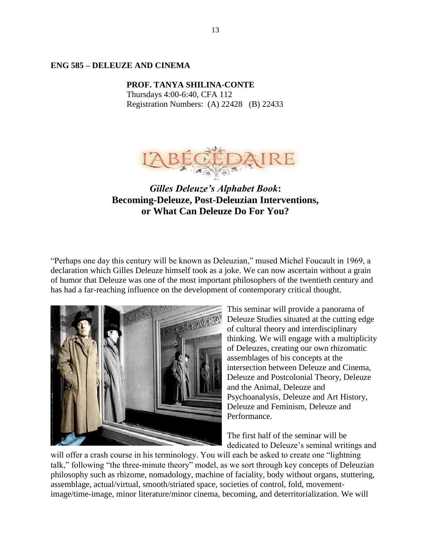## **ENG 585 – DELEUZE AND CINEMA**

**PROF. TANYA SHILINA-CONTE** Thursdays 4:00-6:40, CFA 112 Registration Numbers: (A) 22428 (B) 22433



*Gilles Deleuze's Alphabet Book***: Becoming-Deleuze, Post-Deleuzian Interventions, or What Can Deleuze Do For You?** 

"Perhaps one day this century will be known as Deleuzian," mused Michel Foucault in 1969, a declaration which Gilles Deleuze himself took as a joke. We can now ascertain without a grain of humor that Deleuze was one of the most important philosophers of the twentieth century and has had a far-reaching influence on the development of contemporary critical thought.



This seminar will provide a panorama of Deleuze Studies situated at the cutting edge of cultural theory and interdisciplinary thinking. We will engage with a multiplicity of Deleuzes, creating our own rhizomatic assemblages of his concepts at the intersection between Deleuze and Cinema, Deleuze and Postcolonial Theory, Deleuze and the Animal, Deleuze and Psychoanalysis, Deleuze and Art History, Deleuze and Feminism, Deleuze and Performance.

The first half of the seminar will be dedicated to Deleuze's seminal writings and

will offer a crash course in his terminology. You will each be asked to create one "lightning" talk," following "the three-minute theory" model, as we sort through key concepts of Deleuzian philosophy such as rhizome, nomadology, machine of faciality, body without organs, stuttering, assemblage, actual/virtual, smooth/striated space, societies of control, fold, movementimage/time-image, minor literature/minor cinema, becoming, and deterritorialization. We will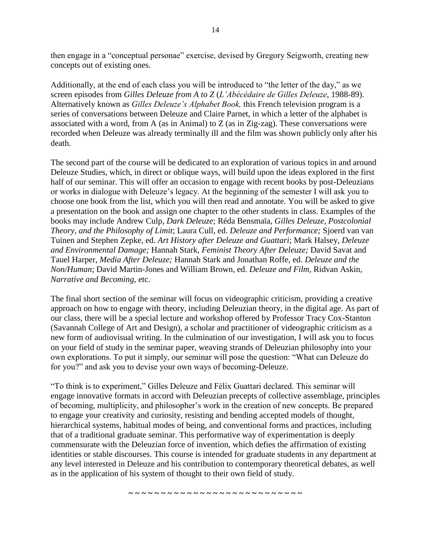then engage in a "conceptual personae" exercise, devised by Gregory Seigworth, creating new concepts out of existing ones.

Additionally, at the end of each class you will be introduced to "the letter of the day," as we screen episodes from *Gilles Deleuze from A to Z* (*L'Abécédaire de Gilles Deleuze*, 1988-89). Alternatively known as *Gilles Deleuze's Alphabet Book,* this French television program is a series of conversations between Deleuze and Claire Parnet, in which a letter of the alphabet is associated with a word, from A (as in Animal) to  $Z$  (as in Zig-zag). These conversations were recorded when Deleuze was already terminally ill and the film was shown publicly only after his death.

The second part of the course will be dedicated to an exploration of various topics in and around Deleuze Studies, which, in direct or oblique ways, will build upon the ideas explored in the first half of our seminar. This will offer an occasion to engage with recent books by post-Deleuzians or works in dialogue with Deleuze's legacy. At the beginning of the semester I will ask you to choose one book from the list, which you will then read and annotate. You will be asked to give a presentation on the book and assign one chapter to the other students in class. Examples of the books may include Andrew Culp, *Dark Deleuze*; Réda Bensmaïa, *Gilles Deleuze, Postcolonial Theory, and the Philosophy of Limit*; Laura Cull, ed. *Deleuze and Performance;* Sjoerd van van Tuinen and Stephen Zepke, ed. *Art History after Deleuze and Guattari*; Mark Halsey, *Deleuze and Environmental Damage;* Hannah Stark, *Feminist Theory After Deleuze;* David Savat and Tauel Harper, *Media After Deleuze;* Hannah Stark and Jonathan Roffe, ed. *Deleuze and the Non/Human*; David Martin-Jones and William Brown, ed. *Deleuze and Film*, Ridvan Askin, *Narrative and Becoming,* etc.

The final short section of the seminar will focus on videographic criticism, providing a creative approach on how to engage with theory, including Deleuzian theory, in the digital age. As part of our class, there will be a special lecture and workshop offered by Professor Tracy Cox-Stanton (Savannah College of Art and Design), a scholar and practitioner of videographic criticism as a new form of audiovisual writing. In the culmination of our investigation, I will ask you to focus on your field of study in the seminar paper, weaving strands of Deleuzian philosophy into your own explorations. To put it simply, our seminar will pose the question: "What can Deleuze do for you?" and ask you to devise your own ways of becoming-Deleuze.

"To think is to experiment," Gilles Deleuze and Félix Guattari declared. This seminar will engage innovative formats in accord with Deleuzian precepts of collective assemblage, principles of becoming, multiplicity, and philosopher's work in the creation of new concepts. Be prepared to engage your creativity and curiosity, resisting and bending accepted models of thought, hierarchical systems, habitual modes of being, and conventional forms and practices, including that of a traditional graduate seminar. This performative way of experimentation is deeply commensurate with the Deleuzian force of invention, which defies the affirmation of existing identities or stable discourses. This course is intended for graduate students in any department at any level interested in Deleuze and his contribution to contemporary theoretical debates, as well as in the application of his system of thought to their own field of study.

14

**~ ~ ~ ~ ~ ~ ~ ~ ~ ~ ~ ~ ~ ~ ~ ~ ~ ~ ~ ~ ~ ~ ~ ~ ~ ~ ~**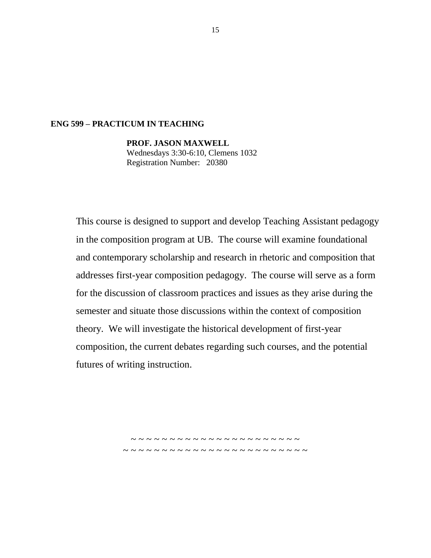## **ENG 599 – PRACTICUM IN TEACHING**

**PROF. JASON MAXWELL** Wednesdays 3:30-6:10, Clemens 1032 Registration Number: 20380

This course is designed to support and develop Teaching Assistant pedagogy in the composition program at UB. The course will examine foundational and contemporary scholarship and research in rhetoric and composition that addresses first-year composition pedagogy. The course will serve as a form for the discussion of classroom practices and issues as they arise during the semester and situate those discussions within the context of composition theory. We will investigate the historical development of first-year composition, the current debates regarding such courses, and the potential futures of writing instruction.

> ~ ~ ~ ~ ~ ~ ~ ~ ~ ~ ~ ~ ~ ~ ~ ~ ~ ~ ~ ~ ~ ~ ~ ~ ~ ~ ~ ~ ~ ~ ~ ~ ~ ~ ~ ~ ~ ~ ~ ~ ~ ~ ~ ~ ~ ~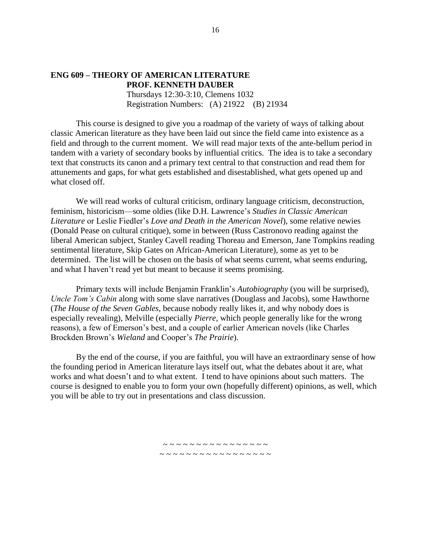#### **ENG 609 – THEORY OF AMERICAN LITERATURE PROF. KENNETH DAUBER**

Thursdays 12:30-3:10, Clemens 1032 Registration Numbers: (A) 21922 (B) 21934

This course is designed to give you a roadmap of the variety of ways of talking about classic American literature as they have been laid out since the field came into existence as a field and through to the current moment. We will read major texts of the ante-bellum period in tandem with a variety of secondary books by influential critics. The idea is to take a secondary text that constructs its canon and a primary text central to that construction and read them for attunements and gaps, for what gets established and disestablished, what gets opened up and what closed off.

We will read works of cultural criticism, ordinary language criticism, deconstruction, feminism, historicism—some oldies (like D.H. Lawrence's *Studies in Classic American Literature* or Leslie Fiedler's *Love and Death in the American Novel*), some relative newies (Donald Pease on cultural critique), some in between (Russ Castronovo reading against the liberal American subject, Stanley Cavell reading Thoreau and Emerson, Jane Tompkins reading sentimental literature, Skip Gates on African-American Literature), some as yet to be determined. The list will be chosen on the basis of what seems current, what seems enduring, and what I haven't read yet but meant to because it seems promising.

Primary texts will include Benjamin Franklin's *Autobiography* (you will be surprised), *Uncle Tom's Cabin* along with some slave narratives (Douglass and Jacobs), some Hawthorne (*The House of the Seven Gables,* because nobody really likes it, and why nobody does is especially revealing), Melville (especially *Pierre,* which people generally like for the wrong reasons), a few of Emerson's best, and a couple of earlier American novels (like Charles Brockden Brown's *Wieland* and Cooper's *The Prairie*).

By the end of the course, if you are faithful, you will have an extraordinary sense of how the founding period in American literature lays itself out, what the debates about it are, what works and what doesn't and to what extent. I tend to have opinions about such matters. The course is designed to enable you to form your own (hopefully different) opinions, as well, which you will be able to try out in presentations and class discussion.

> ~ ~ ~ ~ ~ ~ ~ ~ ~ ~ ~ ~ ~ ~ ~ ~ ~ ~ ~ ~ ~ ~ ~ ~ ~ ~ ~ ~ ~ ~ ~ ~ ~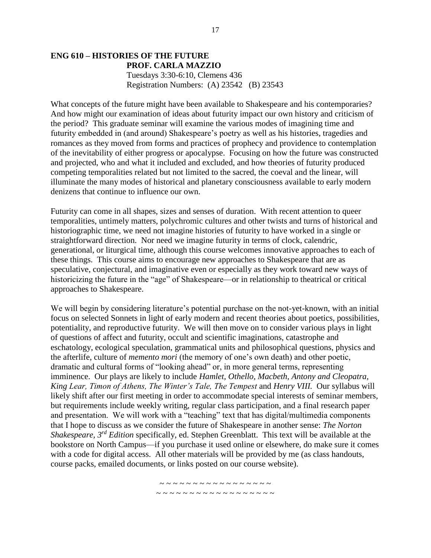## **ENG 610 – HISTORIES OF THE FUTURE PROF. CARLA MAZZIO** Tuesdays 3:30-6:10, Clemens 436 Registration Numbers: (A) 23542 (B) 23543

What concepts of the future might have been available to Shakespeare and his contemporaries? And how might our examination of ideas about futurity impact our own history and criticism of the period? This graduate seminar will examine the various modes of imagining time and futurity embedded in (and around) Shakespeare's poetry as well as his histories, tragedies and romances as they moved from forms and practices of prophecy and providence to contemplation of the inevitability of either progress or apocalypse. Focusing on how the future was constructed and projected, who and what it included and excluded, and how theories of futurity produced competing temporalities related but not limited to the sacred, the coeval and the linear, will illuminate the many modes of historical and planetary consciousness available to early modern denizens that continue to influence our own.

Futurity can come in all shapes, sizes and senses of duration. With recent attention to queer temporalities, untimely matters, polychromic cultures and other twists and turns of historical and historiographic time, we need not imagine histories of futurity to have worked in a single or straightforward direction. Nor need we imagine futurity in terms of clock, calendric, generational, or liturgical time, although this course welcomes innovative approaches to each of these things. This course aims to encourage new approaches to Shakespeare that are as speculative, conjectural, and imaginative even or especially as they work toward new ways of historicizing the future in the "age" of Shakespeare—or in relationship to theatrical or critical approaches to Shakespeare.

We will begin by considering literature's potential purchase on the not-yet-known, with an initial focus on selected Sonnets in light of early modern and recent theories about poetics, possibilities, potentiality, and reproductive futurity. We will then move on to consider various plays in light of questions of affect and futurity, occult and scientific imaginations, catastrophe and eschatology, ecological speculation, grammatical units and philosophical questions, physics and the afterlife, culture of *memento mori* (the memory of one's own death) and other poetic, dramatic and cultural forms of "looking ahead" or, in more general terms, representing imminence. Our plays are likely to include *Hamlet, Othello, Macbeth, Antony and Cleopatra, King Lear, Timon of Athens, The Winter's Tale, The Tempest* and *Henry VIII.* Our syllabus will likely shift after our first meeting in order to accommodate special interests of seminar members, but requirements include weekly writing, regular class participation, and a final research paper and presentation. We will work with a "teaching" text that has digital/multimedia components that I hope to discuss as we consider the future of Shakespeare in another sense: *The Norton Shakespeare, 3rd Edition* specifically, ed. Stephen Greenblatt. This text will be available at the bookstore on North Campus—if you purchase it used online or elsewhere, do make sure it comes with a code for digital access. All other materials will be provided by me (as class handouts, course packs, emailed documents, or links posted on our course website).

> ~ ~ ~ ~ ~ ~ ~ ~ ~ ~ ~ ~ ~ ~ ~ ~ ~ ~ ~ ~ ~ ~ ~ ~ ~ ~ ~ ~ ~ ~ ~ ~ ~ ~ ~ ~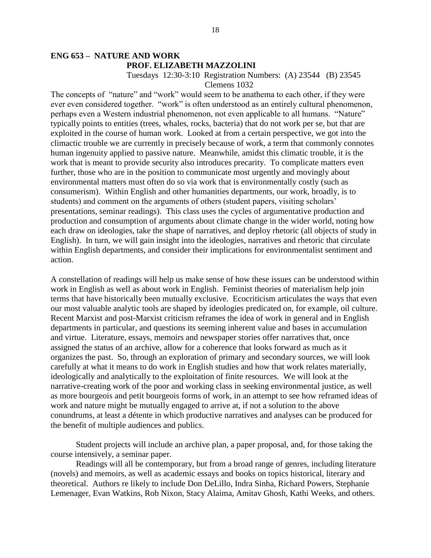## **ENG 653 – NATURE AND WORK PROF. ELIZABETH MAZZOLINI**

#### Tuesdays 12:30-3:10 Registration Numbers: (A) 23544 (B) 23545 Clemens 1032

The concepts of "nature" and "work" would seem to be anathema to each other, if they were ever even considered together. "work" is often understood as an entirely cultural phenomenon, perhaps even a Western industrial phenomenon, not even applicable to all humans. "Nature" typically points to entities (trees, whales, rocks, bacteria) that do not work per se, but that are exploited in the course of human work. Looked at from a certain perspective, we got into the climactic trouble we are currently in precisely because of work, a term that commonly connotes human ingenuity applied to passive nature. Meanwhile, amidst this climatic trouble, it is the work that is meant to provide security also introduces precarity. To complicate matters even further, those who are in the position to communicate most urgently and movingly about environmental matters must often do so via work that is environmentally costly (such as consumerism). Within English and other humanities departments, our work, broadly, is to students) and comment on the arguments of others (student papers, visiting scholars' presentations, seminar readings). This class uses the cycles of argumentative production and production and consumption of arguments about climate change in the wider world, noting how each draw on ideologies, take the shape of narratives, and deploy rhetoric (all objects of study in English). In turn, we will gain insight into the ideologies, narratives and rhetoric that circulate within English departments, and consider their implications for environmentalist sentiment and action.

A constellation of readings will help us make sense of how these issues can be understood within work in English as well as about work in English. Feminist theories of materialism help join terms that have historically been mutually exclusive. Ecocriticism articulates the ways that even our most valuable analytic tools are shaped by ideologies predicated on, for example, oil culture. Recent Marxist and post-Marxist criticism reframes the idea of work in general and in English departments in particular, and questions its seeming inherent value and bases in accumulation and virtue. Literature, essays, memoirs and newspaper stories offer narratives that, once assigned the status of an archive, allow for a coherence that looks forward as much as it organizes the past. So, through an exploration of primary and secondary sources, we will look carefully at what it means to do work in English studies and how that work relates materially, ideologically and analytically to the exploitation of finite resources. We will look at the narrative-creating work of the poor and working class in seeking environmental justice, as well as more bourgeois and petit bourgeois forms of work, in an attempt to see how reframed ideas of work and nature might be mutually engaged to arrive at, if not a solution to the above conundrums, at least a détente in which productive narratives and analyses can be produced for the benefit of multiple audiences and publics.

Student projects will include an archive plan, a paper proposal, and, for those taking the course intensively, a seminar paper.

Readings will all be contemporary, but from a broad range of genres, including literature (novels) and memoirs, as well as academic essays and books on topics historical, literary and theoretical. Authors re likely to include Don DeLillo, Indra Sinha, Richard Powers, Stephanie Lemenager, Evan Watkins, Rob Nixon, Stacy Alaima, Amitav Ghosh, Kathi Weeks, and others.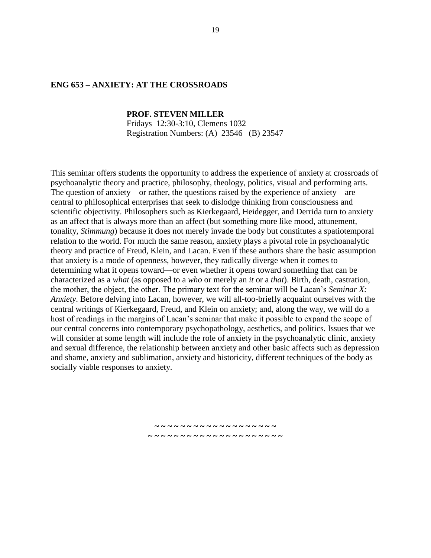### **ENG 653 – ANXIETY: AT THE CROSSROADS**

#### **PROF. STEVEN MILLER**

Fridays 12:30-3:10, Clemens 1032 Registration Numbers: (A) 23546 (B) 23547

This seminar offers students the opportunity to address the experience of anxiety at crossroads of psychoanalytic theory and practice, philosophy, theology, politics, visual and performing arts. The question of anxiety—or rather, the questions raised by the experience of anxiety—are central to philosophical enterprises that seek to dislodge thinking from consciousness and scientific objectivity. Philosophers such as Kierkegaard, Heidegger, and Derrida turn to anxiety as an affect that is always more than an affect (but something more like mood, attunement, tonality, *Stimmung*) because it does not merely invade the body but constitutes a spatiotemporal relation to the world. For much the same reason, anxiety plays a pivotal role in psychoanalytic theory and practice of Freud, Klein, and Lacan. Even if these authors share the basic assumption that anxiety is a mode of openness, however, they radically diverge when it comes to determining what it opens toward—or even whether it opens toward something that can be characterized as a *what* (as opposed to a *who* or merely an *it* or a *that*). Birth, death, castration, the mother, the object, the other. The primary text for the seminar will be Lacan's *Seminar X: Anxiety*. Before delving into Lacan, however, we will all-too-briefly acquaint ourselves with the central writings of Kierkegaard, Freud, and Klein on anxiety; and, along the way, we will do a host of readings in the margins of Lacan's seminar that make it possible to expand the scope of our central concerns into contemporary psychopathology, aesthetics, and politics. Issues that we will consider at some length will include the role of anxiety in the psychoanalytic clinic, anxiety and sexual difference, the relationship between anxiety and other basic affects such as depression and shame, anxiety and sublimation, anxiety and historicity, different techniques of the body as socially viable responses to anxiety.

> **~ ~ ~ ~ ~ ~ ~ ~ ~ ~ ~ ~ ~ ~ ~ ~ ~ ~ ~ ~ ~ ~ ~ ~ ~ ~ ~ ~ ~ ~ ~ ~ ~ ~ ~ ~ ~ ~ ~ ~**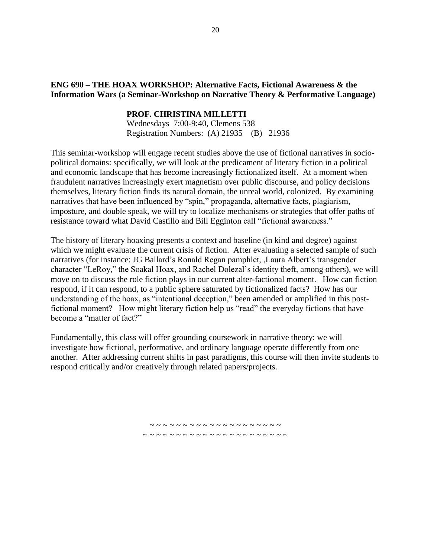## **ENG 690 – THE HOAX WORKSHOP: Alternative Facts, Fictional Awareness & the Information Wars (a Seminar-Workshop on Narrative Theory & Performative Language)**

### **PROF. CHRISTINA MILLETTI**

Wednesdays 7:00-9:40, Clemens 538 Registration Numbers: (A) 21935 (B) 21936

This seminar-workshop will engage recent studies above the use of fictional narratives in sociopolitical domains: specifically, we will look at the predicament of literary fiction in a political and economic landscape that has become increasingly fictionalized itself. At a moment when fraudulent narratives increasingly exert magnetism over public discourse, and policy decisions themselves, literary fiction finds its natural domain, the unreal world, colonized. By examining narratives that have been influenced by "spin," propaganda, alternative facts, plagiarism, imposture, and double speak, we will try to localize mechanisms or strategies that offer paths of resistance toward what David Castillo and Bill Egginton call "fictional awareness."

The history of literary hoaxing presents a context and baseline (in kind and degree) against which we might evaluate the current crisis of fiction. After evaluating a selected sample of such narratives (for instance: JG Ballard's Ronald Regan pamphlet, ,Laura Albert's transgender character "LeRoy," the Soakal Hoax, and Rachel Dolezal's identity theft, among others), we will move on to discuss the role fiction plays in our current alter-factional moment. How can fiction respond, if it can respond, to a public sphere saturated by fictionalized facts? How has our understanding of the hoax, as "intentional deception," been amended or amplified in this postfictional moment? How might literary fiction help us "read" the everyday fictions that have become a "matter of fact?"

Fundamentally, this class will offer grounding coursework in narrative theory: we will investigate how fictional, performative, and ordinary language operate differently from one another. After addressing current shifts in past paradigms, this course will then invite students to respond critically and/or creatively through related papers/projects.

> ~ ~ ~ ~ ~ ~ ~ ~ ~ ~ ~ ~ ~ ~ ~ ~ ~ ~ ~ ~ ~ ~ ~ ~ ~ ~ ~ ~ ~ ~ ~ ~ ~ ~ ~ ~ ~ ~ ~ ~ ~ ~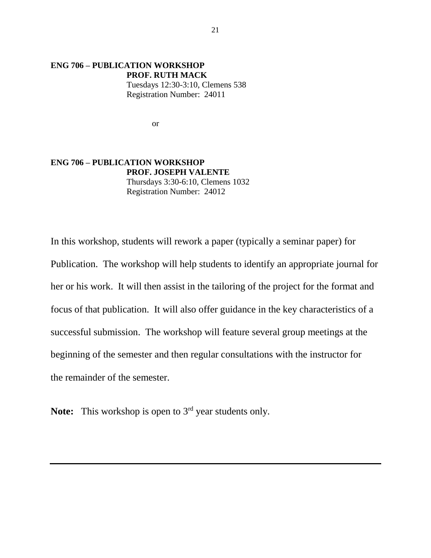### **ENG 706 – PUBLICATION WORKSHOP PROF. RUTH MACK** Tuesdays 12:30-3:10, Clemens 538 Registration Number: 24011

or

**ENG 706 – PUBLICATION WORKSHOP PROF. JOSEPH VALENTE** Thursdays 3:30-6:10, Clemens 1032 Registration Number: 24012

In this workshop, students will rework a paper (typically a seminar paper) for Publication. The workshop will help students to identify an appropriate journal for her or his work. It will then assist in the tailoring of the project for the format and focus of that publication. It will also offer guidance in the key characteristics of a successful submission. The workshop will feature several group meetings at the beginning of the semester and then regular consultations with the instructor for the remainder of the semester.

Note: This workshop is open to 3<sup>rd</sup> year students only.